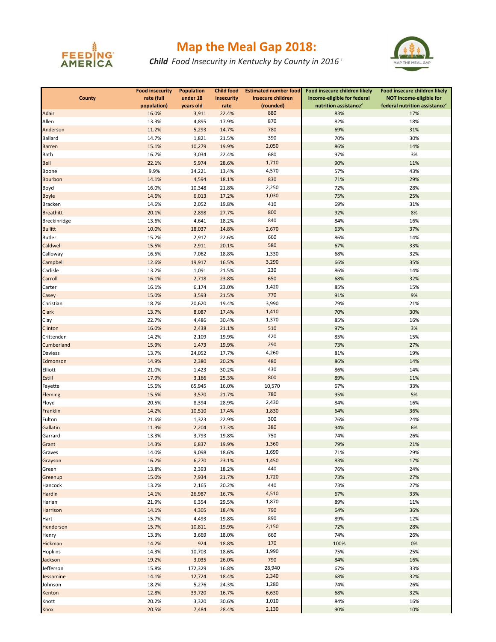

## **Map the Meal Gap 2018:**

*Child Food Insecurity in Kentucky by County in 2016 <sup>1</sup>*



|                     | <b>Food insecurity</b> | <b>Population</b> | <b>Child food</b> | <b>Estimated number food</b> | Food insecure children likely     | Food insecure children likely             |
|---------------------|------------------------|-------------------|-------------------|------------------------------|-----------------------------------|-------------------------------------------|
| <b>County</b>       | rate (full             | under 18          | insecurity        | insecure children            | income-eligible for federal       | NOT income-eligible for                   |
|                     | population)            | years old         | rate              | (rounded)                    | nutrition assistance <sup>2</sup> | federal nutrition assistance <sup>2</sup> |
| Adair               | 16.0%                  | 3,911             | 22.4%             | 880                          | 83%                               | 17%                                       |
| Allen               | 13.3%                  | 4,895             | 17.9%             | 870                          | 82%                               | 18%                                       |
| Anderson            | 11.2%                  | 5,293             | 14.7%             | 780                          | 69%                               | 31%                                       |
| <b>Ballard</b>      | 14.7%                  | 1,821             | 21.5%             | 390                          | 70%                               | 30%                                       |
| <b>Barren</b>       | 15.1%                  | 10,279            | 19.9%             | 2,050                        | 86%                               | 14%                                       |
| <b>Bath</b>         | 16.7%                  | 3,034             | 22.4%             | 680                          | 97%                               | 3%                                        |
| <b>Bell</b>         | 22.1%                  | 5,974             | 28.6%             | 1,710                        | 90%                               | 11%                                       |
|                     |                        |                   |                   | 4,570                        |                                   |                                           |
| Boone               | 9.9%                   | 34,221            | 13.4%             |                              | 57%                               | 43%                                       |
| <b>Bourbon</b>      | 14.1%                  | 4,594             | 18.1%             | 830                          | 71%                               | 29%                                       |
| Boyd                | 16.0%                  | 10,348            | 21.8%             | 2,250                        | 72%                               | 28%                                       |
| <b>Boyle</b>        | 14.6%                  | 6,013             | 17.2%             | 1,030                        | 75%                               | 25%                                       |
| <b>Bracken</b>      | 14.6%                  | 2,052             | 19.8%             | 410                          | 69%                               | 31%                                       |
| <b>Breathitt</b>    | 20.1%                  | 2,898             | 27.7%             | 800                          | 92%                               | 8%                                        |
| <b>Breckinridge</b> | 13.6%                  | 4,641             | 18.2%             | 840                          | 84%                               | 16%                                       |
| <b>Bullitt</b>      | 10.0%                  | 18,037            | 14.8%             | 2,670                        | 63%                               | 37%                                       |
| <b>Butler</b>       | 15.2%                  | 2,917             | 22.6%             | 660                          | 86%                               | 14%                                       |
| Caldwell            | 15.5%                  | 2,911             | 20.1%             | 580                          | 67%                               | 33%                                       |
| Calloway            | 16.5%                  | 7,062             | 18.8%             | 1,330                        | 68%                               | 32%                                       |
| Campbell            | 12.6%                  | 19,917            | 16.5%             | 3,290                        | 66%                               | 35%                                       |
| Carlisle            | 13.2%                  | 1,091             | 21.5%             | 230                          | 86%                               | 14%                                       |
| Carroll             | 16.1%                  | 2,718             | 23.8%             | 650                          | 68%                               | 32%                                       |
| Carter              | 16.1%                  | 6,174             | 23.0%             | 1,420                        | 85%                               | 15%                                       |
| Casey               | 15.0%                  | 3,593             | 21.5%             | 770                          | 91%                               | 9%                                        |
| Christian           | 18.7%                  | 20,620            | 19.4%             | 3,990                        | 79%                               | 21%                                       |
| Clark               | 13.7%                  | 8,087             | 17.4%             | 1,410                        | 70%                               | 30%                                       |
| Clay                | 22.7%                  | 4,486             | 30.4%             | 1,370                        | 85%                               | 16%                                       |
| Clinton             | 16.0%                  | 2,438             | 21.1%             | 510                          | 97%                               | 3%                                        |
| Crittenden          | 14.2%                  | 2,109             | 19.9%             | 420                          | 85%                               | 15%                                       |
| Cumberland          | 15.9%                  | 1,473             | 19.9%             | 290                          | 73%                               | 27%                                       |
| Daviess             | 13.7%                  | 24,052            | 17.7%             | 4,260                        | 81%                               | 19%                                       |
| Edmonson            | 14.9%                  | 2,380             | 20.2%             | 480                          | 86%                               | 14%                                       |
|                     |                        | 1,423             |                   | 430                          |                                   | 14%                                       |
| Elliott             | 21.0%                  |                   | 30.2%             | 800                          | 86%                               | 11%                                       |
| Estill              | 17.9%                  | 3,166             | 25.3%             | 10,570                       | 89%                               |                                           |
| Fayette             | 15.6%                  | 65,945            | 16.0%             |                              | 67%                               | 33%                                       |
| <b>Fleming</b>      | 15.5%                  | 3,570             | 21.7%             | 780                          | 95%                               | 5%                                        |
| Floyd               | 20.5%                  | 8,394             | 28.9%             | 2,430                        | 84%                               | 16%                                       |
| Franklin            | 14.2%                  | 10,510            | 17.4%             | 1,830                        | 64%                               | 36%                                       |
| Fulton              | 21.6%                  | 1,323             | 22.9%             | 300                          | 76%                               | 24%                                       |
| Gallatin            | 11.9%                  | 2,204             | 17.3%             | 380                          | 94%                               | 6%                                        |
| Garrard             | 13.3%                  | 3,793             | 19.8%             | 750                          | 74%                               | 26%                                       |
| Grant               | 14.3%                  | 6,837             | 19.9%             | 1,360                        | 79%                               | 21%                                       |
| Graves              | 14.0%                  | 9,098             | 18.6%             | 1,690                        | 71%                               | 29%                                       |
| Grayson             | 16.2%                  | 6,270             | 23.1%             | 1,450                        | 83%                               | 17%                                       |
| Green               | 13.8%                  | 2,393             | 18.2%             | 440                          | 76%                               | 24%                                       |
| Greenup             | 15.0%                  | 7,934             | 21.7%             | 1,720                        | 73%                               | 27%                                       |
| Hancock             | 13.2%                  | 2,165             | 20.2%             | 440                          | 73%                               | 27%                                       |
| <b>Hardin</b>       | 14.1%                  | 26,987            | 16.7%             | 4,510                        | 67%                               | 33%                                       |
| Harlan              | 21.9%                  | 6,354             | 29.5%             | 1,870                        | 89%                               | 11%                                       |
| <b>Harrison</b>     | 14.1%                  | 4,305             | 18.4%             | 790                          | 64%                               | 36%                                       |
| Hart                | 15.7%                  | 4,493             | 19.8%             | 890                          | 89%                               | 12%                                       |
| Henderson           | 15.7%                  | 10,811            | 19.9%             | 2,150                        | 72%                               | 28%                                       |
| Henry               | 13.3%                  | 3,669             | 18.0%             | 660                          | 74%                               | 26%                                       |
| Hickman             | 14.2%                  | 924               | 18.8%             | 170                          | 100%                              | 0%                                        |
| <b>Hopkins</b>      | 14.3%                  | 10,703            | 18.6%             | 1,990                        | 75%                               | 25%                                       |
| Jackson             | 19.2%                  | 3,035             | 26.0%             | 790                          | 84%                               | 16%                                       |
| Jefferson           | 15.8%                  | 172,329           | 16.8%             | 28,940                       | 67%                               | 33%                                       |
| Jessamine           |                        | 12,724            |                   | 2,340                        | 68%                               | 32%                                       |
|                     | 14.1%                  |                   | 18.4%             |                              |                                   |                                           |
| Johnson             | 18.2%                  | 5,276             | 24.3%             | 1,280                        | 74%                               | 26%                                       |
| Kenton              | 12.8%                  | 39,720            | 16.7%             | 6,630                        | 68%                               | 32%                                       |
| Knott               | 20.2%                  | 3,320             | 30.6%             | 1,010                        | 84%                               | 16%                                       |
| Knox                | 20.5%                  | 7,484             | 28.4%             | 2,130                        | 90%                               | 10%                                       |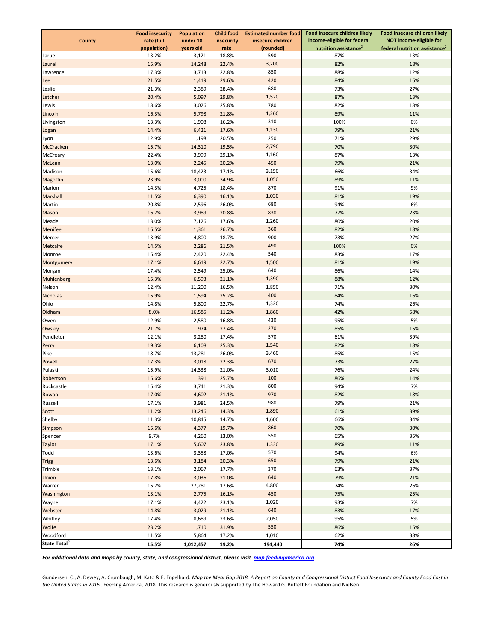|                          | <b>Food insecurity</b> | <b>Population</b> | <b>Child food</b> | <b>Estimated number food</b> | Food insecure children likely     | Food insecure children likely             |
|--------------------------|------------------------|-------------------|-------------------|------------------------------|-----------------------------------|-------------------------------------------|
| County                   | rate (full             | under 18          | insecurity        | insecure children            | income-eligible for federal       | NOT income-eligible for                   |
|                          | population)            | years old         | rate              | (rounded)                    | nutrition assistance <sup>2</sup> | federal nutrition assistance <sup>2</sup> |
| Larue                    | 13.2%                  | 3,121             | 18.8%             | 590                          | 87%                               | 13%                                       |
| Laurel                   | 15.9%                  | 14,248            | 22.4%             | 3,200                        | 82%                               | 18%                                       |
| Lawrence                 | 17.3%                  | 3,713             | 22.8%             | 850                          | 88%                               | 12%                                       |
| Lee                      | 21.5%                  | 1,419             | 29.6%             | 420                          | 84%                               | 16%                                       |
| Leslie                   | 21.3%                  | 2,389             | 28.4%             | 680                          | 73%                               | 27%                                       |
| Letcher                  | 20.4%                  | 5,097             | 29.8%             | 1,520<br>780                 | 87%                               | 13%                                       |
| Lewis<br>Lincoln         | 18.6%<br>16.3%         | 3,026<br>5,798    | 25.8%             | 1,260                        | 82%<br>89%                        | 18%<br>11%                                |
| Livingston               | 13.3%                  | 1,908             | 21.8%<br>16.2%    | 310                          | 100%                              | 0%                                        |
|                          | 14.4%                  | 6,421             | 17.6%             | 1,130                        | 79%                               | 21%                                       |
| Logan<br>Lyon            | 12.9%                  | 1,198             | 20.5%             | 250                          | 71%                               | 29%                                       |
| McCracken                | 15.7%                  | 14,310            | 19.5%             | 2,790                        | 70%                               | 30%                                       |
| McCreary                 | 22.4%                  | 3,999             | 29.1%             | 1,160                        | 87%                               | 13%                                       |
| McLean                   | 13.0%                  | 2,245             | 20.2%             | 450                          | 79%                               | 21%                                       |
| Madison                  | 15.6%                  | 18,423            | 17.1%             | 3,150                        | 66%                               | 34%                                       |
| Magoffin                 | 23.9%                  | 3,000             | 34.9%             | 1,050                        | 89%                               | 11%                                       |
| Marion                   | 14.3%                  | 4,725             | 18.4%             | 870                          | 91%                               | 9%                                        |
| Marshall                 | 11.5%                  | 6,390             | 16.1%             | 1,030                        | 81%                               | 19%                                       |
| Martin                   | 20.8%                  | 2,596             | 26.0%             | 680                          | 94%                               | 6%                                        |
| Mason                    | 16.2%                  | 3,989             | 20.8%             | 830                          | 77%                               | 23%                                       |
| Meade                    | 13.0%                  | 7,126             | 17.6%             | 1,260                        | 80%                               | 20%                                       |
| Menifee                  | 16.5%                  | 1,361             | 26.7%             | 360                          | 82%                               | 18%                                       |
| Mercer                   | 13.9%                  | 4,800             | 18.7%             | 900                          | 73%                               | 27%                                       |
| Metcalfe                 | 14.5%                  | 2,286             | 21.5%             | 490                          | 100%                              | 0%                                        |
| Monroe                   | 15.4%                  | 2,420             | 22.4%             | 540                          | 83%                               | 17%                                       |
| Montgomery               | 17.1%                  | 6,619             | 22.7%             | 1,500                        | 81%                               | 19%                                       |
| Morgan                   | 17.4%                  | 2,549             | 25.0%             | 640                          | 86%                               | 14%                                       |
| Muhlenberg               | 15.3%                  | 6,593             | 21.1%             | 1,390                        | 88%                               | 12%                                       |
| Nelson                   | 12.4%                  | 11,200            | 16.5%             | 1,850                        | 71%                               | 30%                                       |
| <b>Nicholas</b>          | 15.9%                  | 1,594             | 25.2%             | 400                          | 84%                               | 16%                                       |
| Ohio                     | 14.8%                  | 5,800             | 22.7%             | 1,320                        | 74%                               | 26%                                       |
| Oldham                   | 8.0%                   | 16,585            | 11.2%             | 1,860                        | 42%                               | 58%                                       |
| Owen                     | 12.9%                  | 2,580             | 16.8%             | 430                          | 95%                               | 5%                                        |
| Owsley                   | 21.7%                  | 974               | 27.4%             | 270                          | 85%                               | 15%                                       |
| Pendleton                | 12.1%                  | 3,280             | 17.4%             | 570                          | 61%                               | 39%                                       |
| Perry                    | 19.3%                  | 6,108             | 25.3%             | 1,540                        | 82%                               | 18%                                       |
| Pike                     | 18.7%                  | 13,281            | 26.0%             | 3,460                        | 85%                               | 15%                                       |
| Powell                   | 17.3%                  | 3,018             | 22.3%             | 670                          | 73%                               | 27%                                       |
| Pulaski                  | 15.9%                  | 14,338            | 21.0%             | 3,010                        | 76%                               | 24%                                       |
| Robertson                | 15.6%                  | 391               | 25.7%             | 100                          | 86%                               | 14%                                       |
| Rockcastle               | 15.4%                  | 3,741             | 21.3%             | 800                          | 94%                               | 7%                                        |
| Rowan                    | 17.0%                  | 4,602             | 21.1%             | 970                          | 82%                               | 18%                                       |
| Russell                  | 17.1%                  | 3,981             | 24.5%             | 980                          | 79%                               | 21%                                       |
| Scott                    | 11.2%                  | 13,246            | 14.3%             | 1,890                        | 61%                               | 39%                                       |
| Shelby                   | 11.3%                  | 10,845            | 14.7%             | 1,600                        | 66%                               | 34%                                       |
| Simpson                  | 15.6%                  | 4,377             | 19.7%             | 860                          | 70%                               | 30%                                       |
| Spencer                  | 9.7%                   | 4,260             | 13.0%             | 550                          | 65%                               | 35%                                       |
| <b>Taylor</b>            | 17.1%                  | 5,607             | 23.8%             | 1,330                        | 89%                               | 11%                                       |
| Todd                     | 13.6%                  | 3,358             | 17.0%             | 570<br>650                   | 94%<br>79%                        | 6%<br>21%                                 |
| <b>Trigg</b><br>Trimble  | 13.6%                  | 3,184<br>2,067    | 20.3%             | 370                          | 63%                               | 37%                                       |
| Union                    | 13.1%<br>17.8%         | 3,036             | 17.7%<br>21.0%    | 640                          | 79%                               | 21%                                       |
| Warren                   | 15.2%                  | 27,281            | 17.6%             | 4,800                        | 74%                               | 26%                                       |
| Washington               | 13.1%                  | 2,775             | 16.1%             | 450                          | 75%                               | 25%                                       |
| Wayne                    | 17.1%                  | 4,422             | 23.1%             | 1,020                        | 93%                               | 7%                                        |
| Webster                  | 14.8%                  | 3,029             | 21.1%             | 640                          | 83%                               | 17%                                       |
| Whitley                  | 17.4%                  | 8,689             | 23.6%             | 2,050                        | 95%                               | 5%                                        |
| Wolfe                    | 23.2%                  | 1,710             | 31.9%             | 550                          | 86%                               | 15%                                       |
| Woodford                 | 11.5%                  | 5,864             | 17.2%             | 1,010                        | 62%                               | 38%                                       |
| State Total <sup>3</sup> | 15.5%                  | 1,012,457         | 19.2%             | 194,440                      | 74%                               | 26%                                       |
|                          |                        |                   |                   |                              |                                   |                                           |

*For additional data and maps by county, state, and congressional district, please visit map.feedingamerica.org .*

Gundersen, C., A. Dewey, A. Crumbaugh, M. Kato & E. Engelhard. *Map the Meal Gap 2018: A Report on County and Congressional District Food Insecurity and County Food Cost in the United States in 2016* . Feeding America, 2018. This research is generously supported by The Howard G. Buffett Foundation and Nielsen.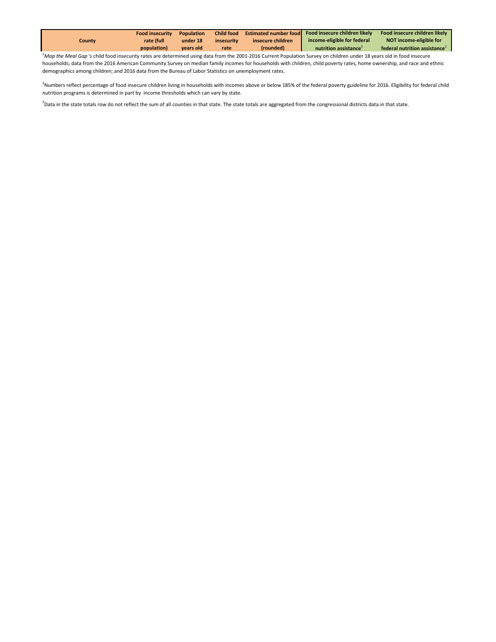<sup>1</sup>*Map the Meal Gap* 's child food insecurity rates are determined using data from the 2001-2016 Current Population Survey on children under 18 years old in food insecure households; data from the 2016 American Community Survey on median family incomes for households with children, child poverty rates, home ownership, and race and ethnic demographics among children; and 2016 data from the Bureau of Labor Statistics on unemployment rates.

<sup>2</sup>Numbers reflect percentage of food insecure children living in households with incomes above or below 185% of the federal poverty guideline for 2016. Eligibility for federal child nutrition programs is determined in part by income thresholds which can vary by state.

<sup>3</sup>Data in the state totals row do not reflect the sum of all counties in that state. The state totals are aggregated from the congressional districts data in that state.